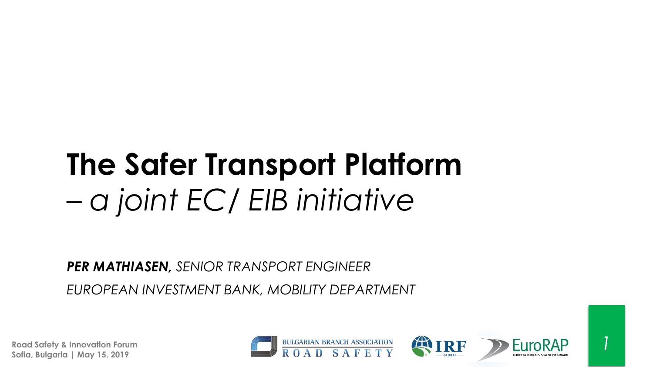# **The Safer Transport Platform**  *– a joint EC/ EIB initiative*

*PER MATHIASEN, SENIOR TRANSPORT ENGINEER*

*EUROPEAN INVESTMENT BANK, MOBILITY DEPARTMENT*







*1*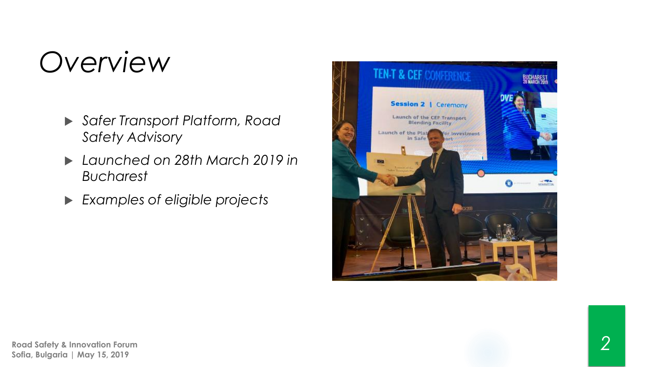## *Overview*

- *Safer Transport Platform, Road Safety Advisory*
- *Launched on 28th March 2019 in Bucharest*
- *Examples of eligible projects*

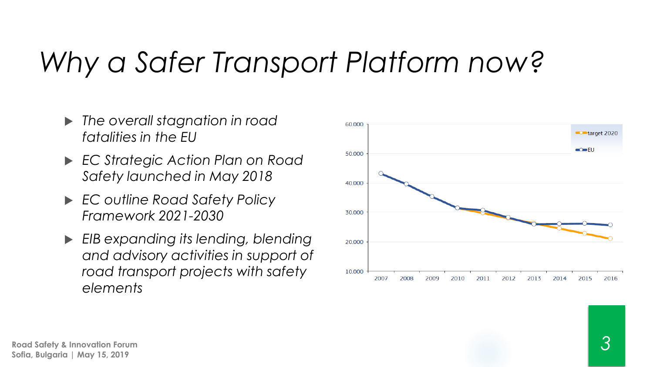# *Why a Safer Transport Platform now?*

- *The overall stagnation in road fatalities in the EU*
- *EC Strategic Action Plan on Road Safety launched in May 2018*
- *EC outline Road Safety Policy Framework 2021-2030*
- *EIB expanding its lending, blending and advisory activities in support of road transport projects with safety elements*

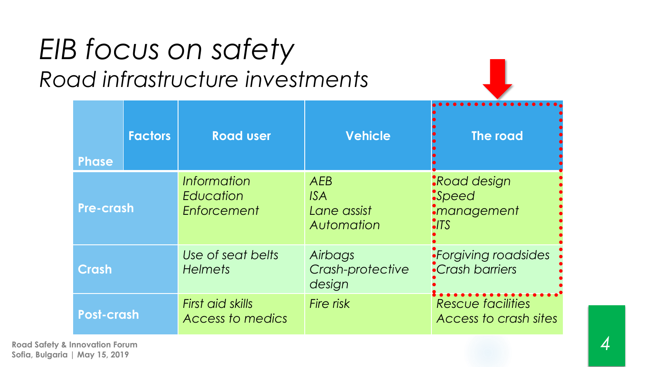### *EIB focus on safety Road infrastructure investments*

| <b>Phase</b>      | <b>Factors</b> | <b>Road user</b>                        | <b>Vehicle</b>                                        | The road                                                 |
|-------------------|----------------|-----------------------------------------|-------------------------------------------------------|----------------------------------------------------------|
| <b>Pre-crash</b>  |                | Information<br>Education<br>Enforcement | <b>AEB</b><br><b>ISA</b><br>Lane assist<br>Automation | ·Road design<br>$-Speed$<br>•management<br>$\bullet$ ITS |
| Crash             |                | Use of seat belts<br><b>Helmets</b>     | Airbags<br>Crash-protective<br>design                 | <i>•Forgiving roadsides</i><br><b>•Crash barriers</b>    |
| <b>Post-crash</b> |                | First aid skills<br>Access to medics    | Fire risk                                             | <b>Rescue facilities</b><br>Access to crash sites        |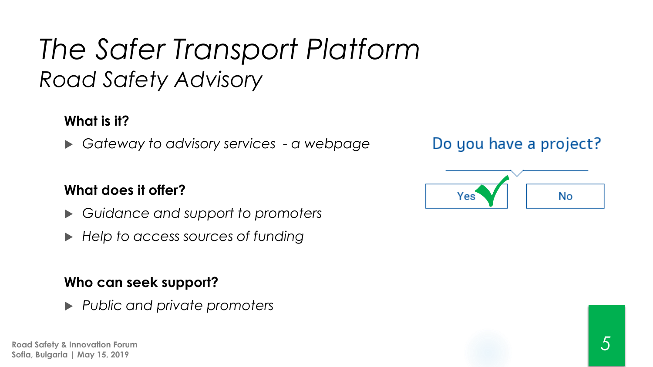#### **What is it?**

*Gateway to advisory services - a webpage*

#### **What does it offer?**

- *Guidance and support to promoters*
- *Help to access sources of funding*

#### **Who can seek support?**

*Public and private promoters*

**Road Safety & Innovation Forum Sofia, Bulgaria | May 15, 2019**

Do you have a project?

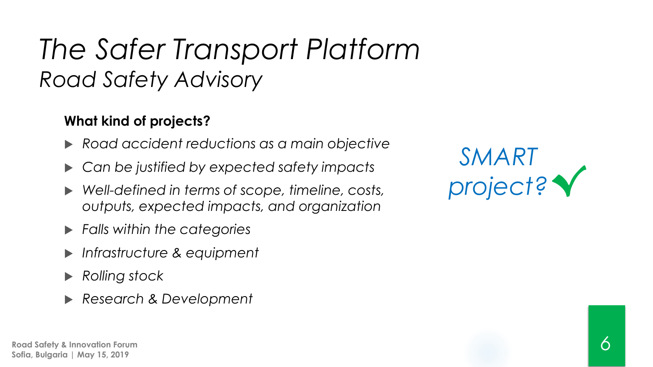#### **What kind of projects?**

- *Road accident reductions as a main objective*
- *Can be justified by expected safety impacts*
- *Well-defined in terms of scope, timeline, costs, outputs, expected impacts, and organization*
- *Falls within the categories*
- *Infrastructure & equipment*
- *Rolling stock*
- *Research & Development*

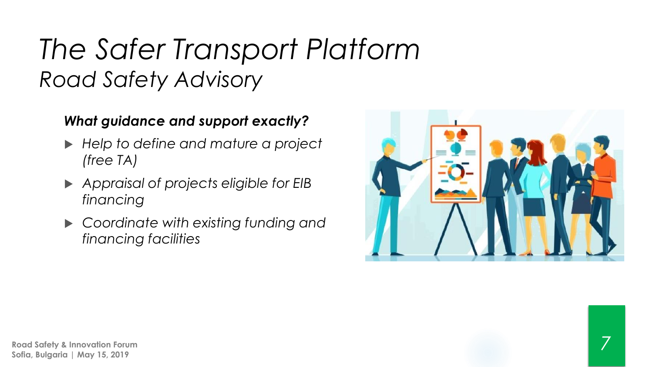#### *What guidance and support exactly?*

- *Help to define and mature a project (free TA)*
- *Appraisal of projects eligible for EIB financing*
- *Coordinate with existing funding and financing facilities*

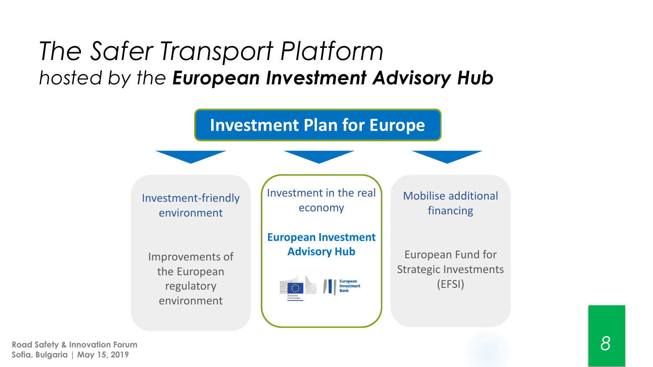#### *The Safer Transport Platform hosted by the European Investment Advisory Hub*



**Road Safety & Innovation Forum Sofia, Bulgaria | May 15, 2019**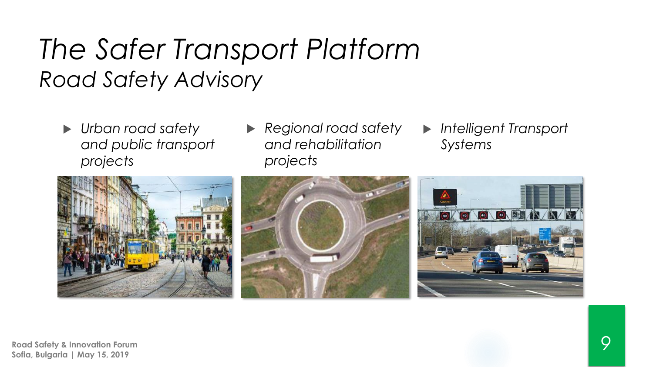- *Urban road safety and public transport projects*
- *Regional road safety and rehabilitation projects*
- *Intelligent Transport Systems*





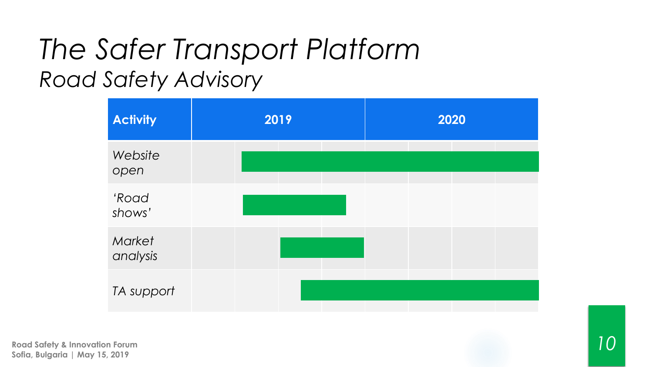| <b>Activity</b>    | 2019 | 2020 |
|--------------------|------|------|
| Website<br>open    |      |      |
| 'Road<br>shows'    |      |      |
| Market<br>analysis |      |      |
| TA support         |      |      |

**Road Safety & Innovation Forum Sofia, Bulgaria | May 15, 2019**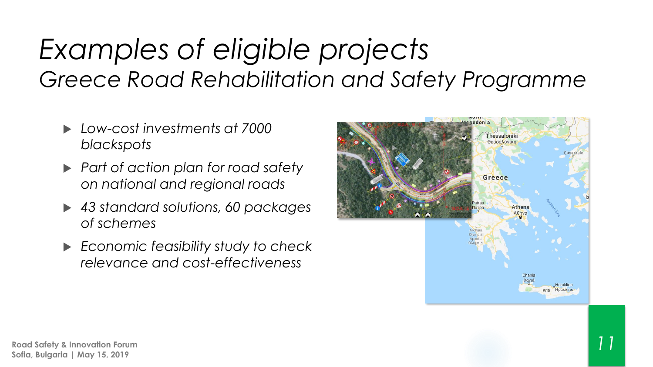### *Examples of eligible projects Greece Road Rehabilitation and Safety Programme*

- *Low-cost investments at 7000 blackspots*
- *Part of action plan for road safety on national and regional roads*
- *43 standard solutions, 60 packages of schemes*
- *Economic feasibility study to check relevance and cost-effectiveness*

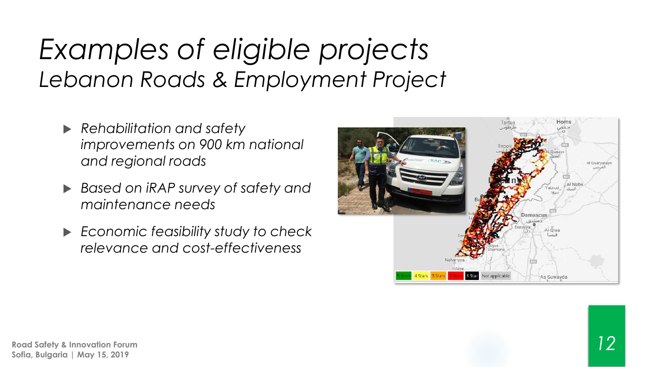### *Examples of eligible projects Lebanon Roads & Employment Project*

- *Rehabilitation and safety improvements on 900 km national and regional roads*
- *Based on iRAP survey of safety and maintenance needs*
- *Economic feasibility study to check relevance and cost-effectiveness*

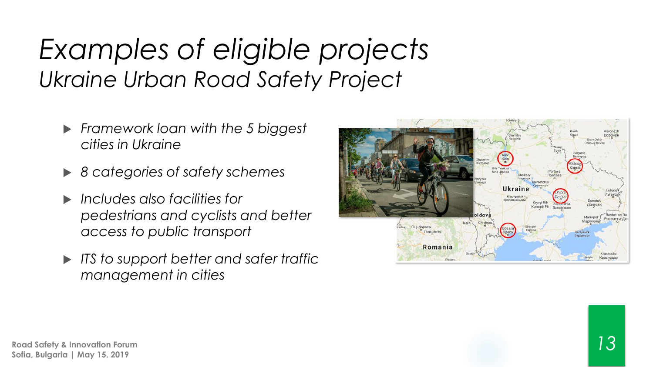### *Examples of eligible projects Ukraine Urban Road Safety Project*

- *Framework loan with the 5 biggest cities in Ukraine*
- *8 categories of safety schemes*
- *Includes also facilities for pedestrians and cyclists and better access to public transport*
- *ITS to support better and safer traffic management in cities*